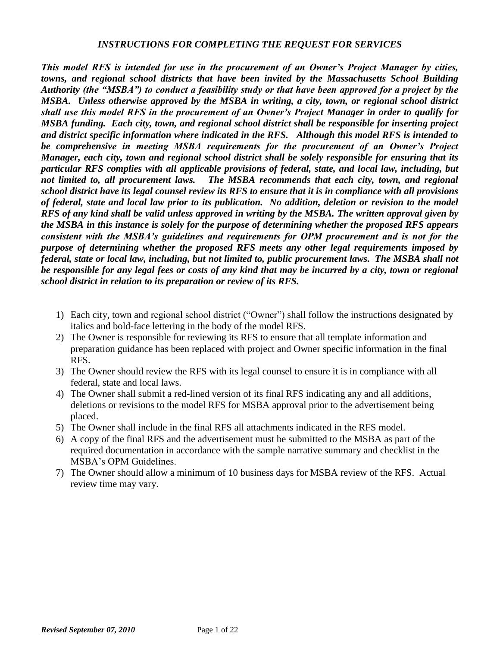#### *INSTRUCTIONS FOR COMPLETING THE REQUEST FOR SERVICES*

*This model RFS is intended for use in the procurement of an Owner's Project Manager by cities, towns, and regional school districts that have been invited by the Massachusetts School Building Authority (the "MSBA") to conduct a feasibility study or that have been approved for a project by the MSBA. Unless otherwise approved by the MSBA in writing, a city, town, or regional school district shall use this model RFS in the procurement of an Owner's Project Manager in order to qualify for MSBA funding. Each city, town, and regional school district shall be responsible for inserting project and district specific information where indicated in the RFS. Although this model RFS is intended to be comprehensive in meeting MSBA requirements for the procurement of an Owner's Project Manager, each city, town and regional school district shall be solely responsible for ensuring that its particular RFS complies with all applicable provisions of federal, state, and local law, including, but not limited to, all procurement laws. The MSBA recommends that each city, town, and regional school district have its legal counsel review its RFS to ensure that it is in compliance with all provisions of federal, state and local law prior to its publication. No addition, deletion or revision to the model RFS of any kind shall be valid unless approved in writing by the MSBA. The written approval given by the MSBA in this instance is solely for the purpose of determining whether the proposed RFS appears consistent with the MSBA's guidelines and requirements for OPM procurement and is not for the purpose of determining whether the proposed RFS meets any other legal requirements imposed by federal, state or local law, including, but not limited to, public procurement laws. The MSBA shall not be responsible for any legal fees or costs of any kind that may be incurred by a city, town or regional school district in relation to its preparation or review of its RFS.* 

- 1) Each city, town and regional school district ("Owner") shall follow the instructions designated by italics and bold-face lettering in the body of the model RFS.
- 2) The Owner is responsible for reviewing its RFS to ensure that all template information and preparation guidance has been replaced with project and Owner specific information in the final RFS.
- 3) The Owner should review the RFS with its legal counsel to ensure it is in compliance with all federal, state and local laws.
- 4) The Owner shall submit a red-lined version of its final RFS indicating any and all additions, deletions or revisions to the model RFS for MSBA approval prior to the advertisement being placed.
- 5) The Owner shall include in the final RFS all attachments indicated in the RFS model.
- 6) A copy of the final RFS and the advertisement must be submitted to the MSBA as part of the required documentation in accordance with the sample narrative summary and checklist in the MSBA's OPM Guidelines.
- 7) The Owner should allow a minimum of 10 business days for MSBA review of the RFS. Actual review time may vary.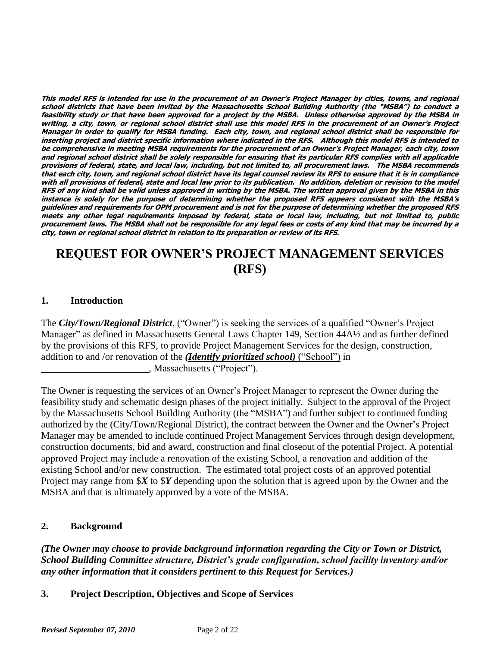**This model RFS is intended for use in the procurement of an Owner's Project Manager by cities, towns, and regional school districts that have been invited by the Massachusetts School Building Authority (the "MSBA") to conduct a feasibility study or that have been approved for a project by the MSBA. Unless otherwise approved by the MSBA in writing, a city, town, or regional school district shall use this model RFS in the procurement of an Owner's Project Manager in order to qualify for MSBA funding. Each city, town, and regional school district shall be responsible for inserting project and district specific information where indicated in the RFS. Although this model RFS is intended to be comprehensive in meeting MSBA requirements for the procurement of an Owner's Project Manager, each city, town and regional school district shall be solely responsible for ensuring that its particular RFS complies with all applicable provisions of federal, state, and local law, including, but not limited to, all procurement laws. The MSBA recommends that each city, town, and regional school district have its legal counsel review its RFS to ensure that it is in compliance with all provisions of federal, state and local law prior to its publication. No addition, deletion or revision to the model RFS of any kind shall be valid unless approved in writing by the MSBA. The written approval given by the MSBA in this instance is solely for the purpose of determining whether the proposed RFS appears consistent with the MSBA's guidelines and requirements for OPM procurement and is not for the purpose of determining whether the proposed RFS meets any other legal requirements imposed by federal, state or local law, including, but not limited to, public procurement laws. The MSBA shall not be responsible for any legal fees or costs of any kind that may be incurred by a city, town or regional school district in relation to its preparation or review of its RFS.** 

# **REQUEST FOR OWNER'S PROJECT MANAGEMENT SERVICES (RFS)**

### **1. Introduction**

The *City/Town/Regional District*, ("Owner") is seeking the services of a qualified "Owner's Project Manager" as defined in Massachusetts General Laws Chapter 149, Section 44A½ and as further defined by the provisions of this RFS, to provide Project Management Services for the design, construction, addition to and /or renovation of the *(Identify prioritized school)* ("School") in **\_\_\_\_\_\_\_\_\_\_\_\_\_\_\_\_\_\_\_\_\_\_**, Massachusetts ("Project").

The Owner is requesting the services of an Owner's Project Manager to represent the Owner during the feasibility study and schematic design phases of the project initially. Subject to the approval of the Project by the Massachusetts School Building Authority (the "MSBA") and further subject to continued funding authorized by the (City/Town/Regional District), the contract between the Owner and the Owner's Project Manager may be amended to include continued Project Management Services through design development, construction documents, bid and award, construction and final closeout of the potential Project. A potential approved Project may include a renovation of the existing School, a renovation and addition of the existing School and/or new construction. The estimated total project costs of an approved potential Project may range from \$*X* to \$*Y* depending upon the solution that is agreed upon by the Owner and the MSBA and that is ultimately approved by a vote of the MSBA.

#### **2. Background**

*(The Owner may choose to provide background information regarding the City or Town or District, School Building Committee structure, District's grade configuration, school facility inventory and/or any other information that it considers pertinent to this Request for Services.)*

#### **3. Project Description, Objectives and Scope of Services**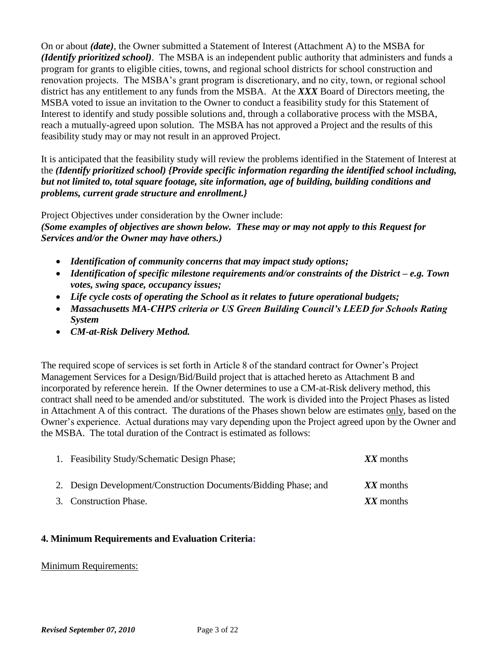On or about *(date)*, the Owner submitted a Statement of Interest (Attachment A) to the MSBA for *(Identify prioritized school)*. The MSBA is an independent public authority that administers and funds a program for grants to eligible cities, towns, and regional school districts for school construction and renovation projects. The MSBA's grant program is discretionary, and no city, town, or regional school district has any entitlement to any funds from the MSBA. At the *XXX* Board of Directors meeting, the MSBA voted to issue an invitation to the Owner to conduct a feasibility study for this Statement of Interest to identify and study possible solutions and, through a collaborative process with the MSBA, reach a mutually-agreed upon solution. The MSBA has not approved a Project and the results of this feasibility study may or may not result in an approved Project.

It is anticipated that the feasibility study will review the problems identified in the Statement of Interest at the *(Identify prioritized school) {Provide specific information regarding the identified school including, but not limited to, total square footage, site information, age of building, building conditions and problems, current grade structure and enrollment.}*

Project Objectives under consideration by the Owner include:

*(Some examples of objectives are shown below. These may or may not apply to this Request for Services and/or the Owner may have others.)*

- *Identification of community concerns that may impact study options;*
- *Identification of specific milestone requirements and/or constraints of the District – e.g. Town votes, swing space, occupancy issues;*
- *Life cycle costs of operating the School as it relates to future operational budgets;*
- *Massachusetts MA-CHPS criteria or US Green Building Council's LEED for Schools Rating System*
- *CM-at-Risk Delivery Method.*

The required scope of services is set forth in Article 8 of the standard contract for Owner's Project Management Services for a Design/Bid/Build project that is attached hereto as Attachment B and incorporated by reference herein. If the Owner determines to use a CM-at-Risk delivery method, this contract shall need to be amended and/or substituted. The work is divided into the Project Phases as listed in Attachment A of this contract. The durations of the Phases shown below are estimates only, based on the Owner's experience. Actual durations may vary depending upon the Project agreed upon by the Owner and the MSBA. The total duration of the Contract is estimated as follows:

| 1. Feasibility Study/Schematic Design Phase;                    | XX months |
|-----------------------------------------------------------------|-----------|
| 2. Design Development/Construction Documents/Bidding Phase; and | XX months |
| 3. Construction Phase.                                          | XX months |

### **4. Minimum Requirements and Evaluation Criteria:**

#### Minimum Requirements: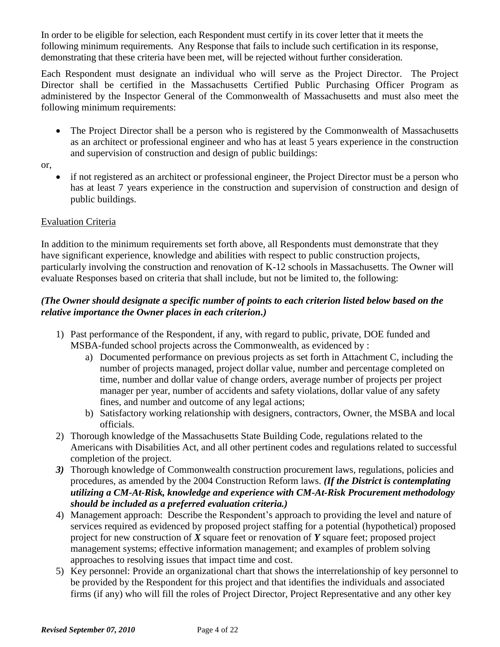In order to be eligible for selection, each Respondent must certify in its cover letter that it meets the following minimum requirements. Any Response that fails to include such certification in its response, demonstrating that these criteria have been met, will be rejected without further consideration.

Each Respondent must designate an individual who will serve as the Project Director. The Project Director shall be certified in the Massachusetts Certified Public Purchasing Officer Program as administered by the Inspector General of the Commonwealth of Massachusetts and must also meet the following minimum requirements:

- The Project Director shall be a person who is registered by the Commonwealth of Massachusetts as an architect or professional engineer and who has at least 5 years experience in the construction and supervision of construction and design of public buildings:
- or,
- if not registered as an architect or professional engineer, the Project Director must be a person who has at least 7 years experience in the construction and supervision of construction and design of public buildings.

## Evaluation Criteria

In addition to the minimum requirements set forth above, all Respondents must demonstrate that they have significant experience, knowledge and abilities with respect to public construction projects, particularly involving the construction and renovation of K-12 schools in Massachusetts. The Owner will evaluate Responses based on criteria that shall include, but not be limited to, the following:

### *(The Owner should designate a specific number of points to each criterion listed below based on the relative importance the Owner places in each criterion.)*

- 1) Past performance of the Respondent, if any, with regard to public, private, DOE funded and MSBA-funded school projects across the Commonwealth, as evidenced by :
	- a) Documented performance on previous projects as set forth in Attachment C, including the number of projects managed, project dollar value, number and percentage completed on time, number and dollar value of change orders, average number of projects per project manager per year, number of accidents and safety violations, dollar value of any safety fines, and number and outcome of any legal actions;
	- b) Satisfactory working relationship with designers, contractors, Owner, the MSBA and local officials.
- 2) Thorough knowledge of the Massachusetts State Building Code, regulations related to the Americans with Disabilities Act, and all other pertinent codes and regulations related to successful completion of the project.
- *3)* Thorough knowledge of Commonwealth construction procurement laws, regulations, policies and procedures, as amended by the 2004 Construction Reform laws. *(If the District is contemplating utilizing a CM-At-Risk, knowledge and experience with CM-At-Risk Procurement methodology should be included as a preferred evaluation criteria.)*
- 4) Management approach: Describe the Respondent's approach to providing the level and nature of services required as evidenced by proposed project staffing for a potential (hypothetical) proposed project for new construction of *X* square feet or renovation of *Y* square feet; proposed project management systems; effective information management; and examples of problem solving approaches to resolving issues that impact time and cost.
- 5) Key personnel: Provide an organizational chart that shows the interrelationship of key personnel to be provided by the Respondent for this project and that identifies the individuals and associated firms (if any) who will fill the roles of Project Director, Project Representative and any other key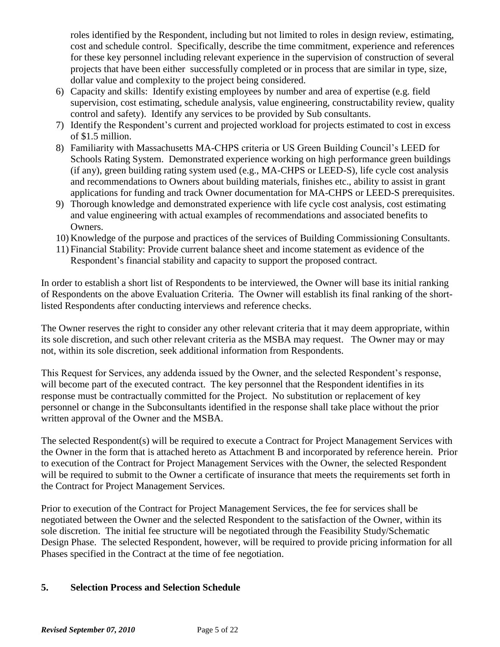roles identified by the Respondent, including but not limited to roles in design review, estimating, cost and schedule control. Specifically, describe the time commitment, experience and references for these key personnel including relevant experience in the supervision of construction of several projects that have been either successfully completed or in process that are similar in type, size, dollar value and complexity to the project being considered.

- 6) Capacity and skills: Identify existing employees by number and area of expertise (e.g. field supervision, cost estimating, schedule analysis, value engineering, constructability review, quality control and safety). Identify any services to be provided by Sub consultants.
- 7) Identify the Respondent's current and projected workload for projects estimated to cost in excess of \$1.5 million.
- 8) Familiarity with Massachusetts MA-CHPS criteria or US Green Building Council's LEED for Schools Rating System. Demonstrated experience working on high performance green buildings (if any), green building rating system used (e.g., MA-CHPS or LEED-S), life cycle cost analysis and recommendations to Owners about building materials, finishes etc., ability to assist in grant applications for funding and track Owner documentation for MA-CHPS or LEED-S prerequisites.
- 9) Thorough knowledge and demonstrated experience with life cycle cost analysis, cost estimating and value engineering with actual examples of recommendations and associated benefits to **Owners**
- 10) Knowledge of the purpose and practices of the services of Building Commissioning Consultants.
- 11) Financial Stability: Provide current balance sheet and income statement as evidence of the Respondent's financial stability and capacity to support the proposed contract.

In order to establish a short list of Respondents to be interviewed, the Owner will base its initial ranking of Respondents on the above Evaluation Criteria. The Owner will establish its final ranking of the shortlisted Respondents after conducting interviews and reference checks.

The Owner reserves the right to consider any other relevant criteria that it may deem appropriate, within its sole discretion, and such other relevant criteria as the MSBA may request. The Owner may or may not, within its sole discretion, seek additional information from Respondents.

This Request for Services, any addenda issued by the Owner, and the selected Respondent's response, will become part of the executed contract. The key personnel that the Respondent identifies in its response must be contractually committed for the Project. No substitution or replacement of key personnel or change in the Subconsultants identified in the response shall take place without the prior written approval of the Owner and the MSBA.

The selected Respondent(s) will be required to execute a Contract for Project Management Services with the Owner in the form that is attached hereto as Attachment B and incorporated by reference herein. Prior to execution of the Contract for Project Management Services with the Owner, the selected Respondent will be required to submit to the Owner a certificate of insurance that meets the requirements set forth in the Contract for Project Management Services.

Prior to execution of the Contract for Project Management Services, the fee for services shall be negotiated between the Owner and the selected Respondent to the satisfaction of the Owner, within its sole discretion. The initial fee structure will be negotiated through the Feasibility Study/Schematic Design Phase. The selected Respondent, however, will be required to provide pricing information for all Phases specified in the Contract at the time of fee negotiation.

## **5. Selection Process and Selection Schedule**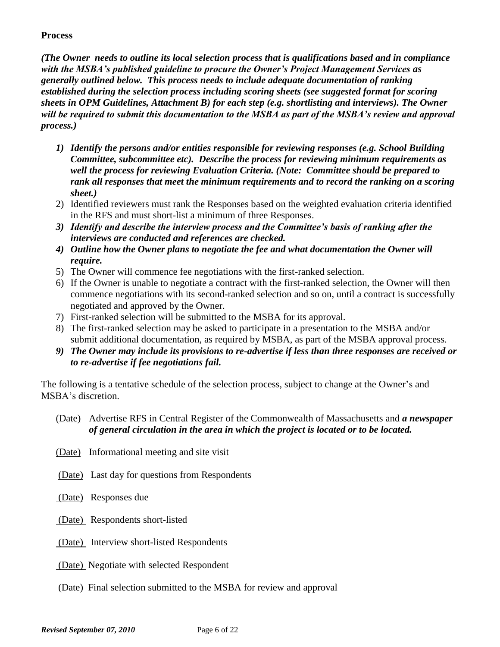### **Process**

*(The Owner needs to outline its local selection process that is qualifications based and in compliance with the MSBA's published guideline to procure the Owner's Project Management Services as generally outlined below. This process needs to include adequate documentation of ranking established during the selection process including scoring sheets (see suggested format for scoring sheets in OPM Guidelines, Attachment B) for each step (e.g. shortlisting and interviews). The Owner will be required to submit this documentation to the MSBA as part of the MSBA's review and approval process.)*

- *1) Identify the persons and/or entities responsible for reviewing responses (e.g. School Building Committee, subcommittee etc). Describe the process for reviewing minimum requirements as well the process for reviewing Evaluation Criteria. (Note: Committee should be prepared to rank all responses that meet the minimum requirements and to record the ranking on a scoring sheet.)*
- 2) Identified reviewers must rank the Responses based on the weighted evaluation criteria identified in the RFS and must short-list a minimum of three Responses.
- *3) Identify and describe the interview process and the Committee's basis of ranking after the interviews are conducted and references are checked.*
- *4) Outline how the Owner plans to negotiate the fee and what documentation the Owner will require.*
- 5) The Owner will commence fee negotiations with the first-ranked selection.
- 6) If the Owner is unable to negotiate a contract with the first-ranked selection, the Owner will then commence negotiations with its second-ranked selection and so on, until a contract is successfully negotiated and approved by the Owner.
- 7) First-ranked selection will be submitted to the MSBA for its approval.
- 8) The first-ranked selection may be asked to participate in a presentation to the MSBA and/or submit additional documentation, as required by MSBA, as part of the MSBA approval process.
- *9) The Owner may include its provisions to re-advertise if less than three responses are received or to re-advertise if fee negotiations fail.*

The following is a tentative schedule of the selection process, subject to change at the Owner's and MSBA's discretion.

- (Date) Advertise RFS in Central Register of the Commonwealth of Massachusetts and *a newspaper of general circulation in the area in which the project is located or to be located.*
- (Date) Informational meeting and site visit
- (Date) Last day for questions from Respondents
- (Date) Responses due
- (Date) Respondents short-listed
- (Date) Interview short-listed Respondents
- (Date) Negotiate with selected Respondent
- (Date) Final selection submitted to the MSBA for review and approval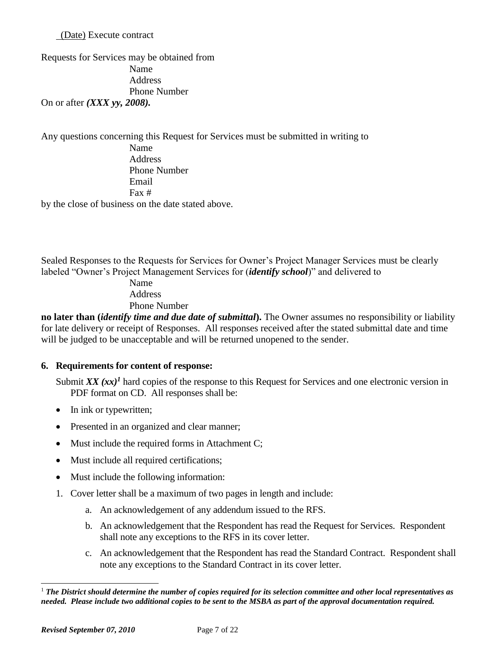### (Date) Execute contract

Requests for Services may be obtained from Name Address Phone Number On or after *(XXX yy, 2008).*

Any questions concerning this Request for Services must be submitted in writing to Name Address Phone Number Email Fax #

by the close of business on the date stated above.

Sealed Responses to the Requests for Services for Owner's Project Manager Services must be clearly labeled "Owner's Project Management Services for (*identify school*)" and delivered to

> Name Address Phone Number

**no later than (***identify time and due date of submittal***).** The Owner assumes no responsibility or liability for late delivery or receipt of Responses. All responses received after the stated submittal date and time will be judged to be unacceptable and will be returned unopened to the sender.

### **6. Requirements for content of response:**

Submit  $XX (xx)^{1}$  hard copies of the response to this Request for Services and one electronic version in PDF format on CD. All responses shall be:

- In ink or typewritten;
- Presented in an organized and clear manner;
- Must include the required forms in Attachment C;
- Must include all required certifications;
- Must include the following information:
- 1. Cover letter shall be a maximum of two pages in length and include:
	- a. An acknowledgement of any addendum issued to the RFS.
	- b. An acknowledgement that the Respondent has read the Request for Services. Respondent shall note any exceptions to the RFS in its cover letter.
	- c. An acknowledgement that the Respondent has read the Standard Contract. Respondent shall note any exceptions to the Standard Contract in its cover letter.

l <sup>1</sup> *The District should determine the number of copies required for its selection committee and other local representatives as needed. Please include two additional copies to be sent to the MSBA as part of the approval documentation required.*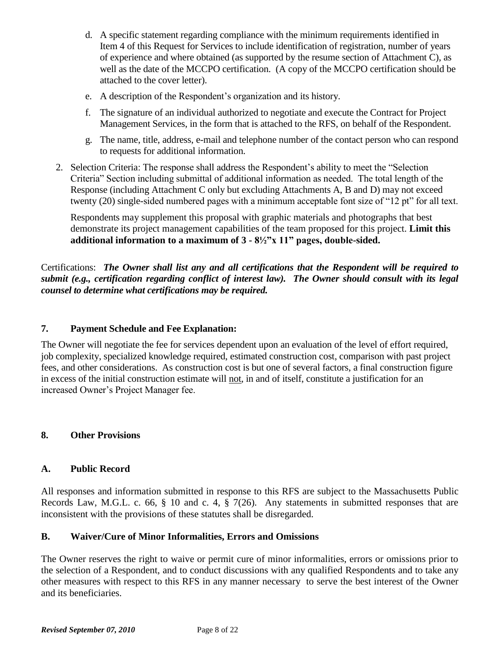- d. A specific statement regarding compliance with the minimum requirements identified in Item 4 of this Request for Services to include identification of registration, number of years of experience and where obtained (as supported by the resume section of Attachment C), as well as the date of the MCCPO certification. (A copy of the MCCPO certification should be attached to the cover letter).
- e. A description of the Respondent's organization and its history.
- f. The signature of an individual authorized to negotiate and execute the Contract for Project Management Services, in the form that is attached to the RFS, on behalf of the Respondent.
- g. The name, title, address, e-mail and telephone number of the contact person who can respond to requests for additional information.
- 2. Selection Criteria: The response shall address the Respondent's ability to meet the "Selection Criteria" Section including submittal of additional information as needed. The total length of the Response (including Attachment C only but excluding Attachments A, B and D) may not exceed twenty (20) single-sided numbered pages with a minimum acceptable font size of "12 pt" for all text.

Respondents may supplement this proposal with graphic materials and photographs that best demonstrate its project management capabilities of the team proposed for this project. **Limit this additional information to a maximum of 3 - 8½"x 11" pages, double-sided.**

Certifications: *The Owner shall list any and all certifications that the Respondent will be required to submit (e.g., certification regarding conflict of interest law). The Owner should consult with its legal counsel to determine what certifications may be required.*

### **7. Payment Schedule and Fee Explanation:**

The Owner will negotiate the fee for services dependent upon an evaluation of the level of effort required, job complexity, specialized knowledge required, estimated construction cost, comparison with past project fees, and other considerations. As construction cost is but one of several factors, a final construction figure in excess of the initial construction estimate will not, in and of itself, constitute a justification for an increased Owner's Project Manager fee.

## **8. Other Provisions**

### **A. Public Record**

All responses and information submitted in response to this RFS are subject to the Massachusetts Public Records Law, M.G.L. c. 66, § 10 and c. 4, § 7(26). Any statements in submitted responses that are inconsistent with the provisions of these statutes shall be disregarded.

## **B. Waiver/Cure of Minor Informalities, Errors and Omissions**

The Owner reserves the right to waive or permit cure of minor informalities, errors or omissions prior to the selection of a Respondent, and to conduct discussions with any qualified Respondents and to take any other measures with respect to this RFS in any manner necessary to serve the best interest of the Owner and its beneficiaries.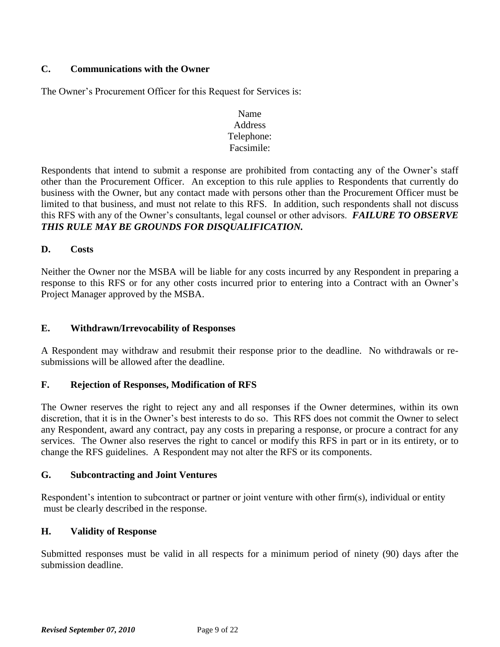### **C. Communications with the Owner**

The Owner's Procurement Officer for this Request for Services is:

Name Address Telephone: Facsimile:

Respondents that intend to submit a response are prohibited from contacting any of the Owner's staff other than the Procurement Officer. An exception to this rule applies to Respondents that currently do business with the Owner, but any contact made with persons other than the Procurement Officer must be limited to that business, and must not relate to this RFS. In addition, such respondents shall not discuss this RFS with any of the Owner's consultants, legal counsel or other advisors. *FAILURE TO OBSERVE THIS RULE MAY BE GROUNDS FOR DISQUALIFICATION.*

### **D. Costs**

Neither the Owner nor the MSBA will be liable for any costs incurred by any Respondent in preparing a response to this RFS or for any other costs incurred prior to entering into a Contract with an Owner's Project Manager approved by the MSBA.

### **E. Withdrawn/Irrevocability of Responses**

A Respondent may withdraw and resubmit their response prior to the deadline. No withdrawals or resubmissions will be allowed after the deadline.

### **F. Rejection of Responses, Modification of RFS**

The Owner reserves the right to reject any and all responses if the Owner determines, within its own discretion, that it is in the Owner's best interests to do so. This RFS does not commit the Owner to select any Respondent, award any contract, pay any costs in preparing a response, or procure a contract for any services. The Owner also reserves the right to cancel or modify this RFS in part or in its entirety, or to change the RFS guidelines. A Respondent may not alter the RFS or its components.

### **G. Subcontracting and Joint Ventures**

Respondent's intention to subcontract or partner or joint venture with other firm(s), individual or entity must be clearly described in the response.

### **H. Validity of Response**

Submitted responses must be valid in all respects for a minimum period of ninety (90) days after the submission deadline.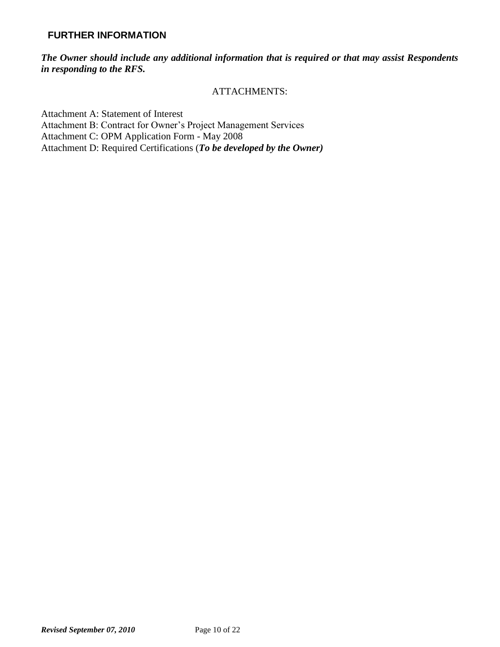### **FURTHER INFORMATION**

*The Owner should include any additional information that is required or that may assist Respondents in responding to the RFS.* 

#### ATTACHMENTS:

Attachment A: Statement of Interest Attachment B: Contract for Owner's Project Management Services Attachment C: OPM Application Form - May 2008 Attachment D: Required Certifications (*To be developed by the Owner)*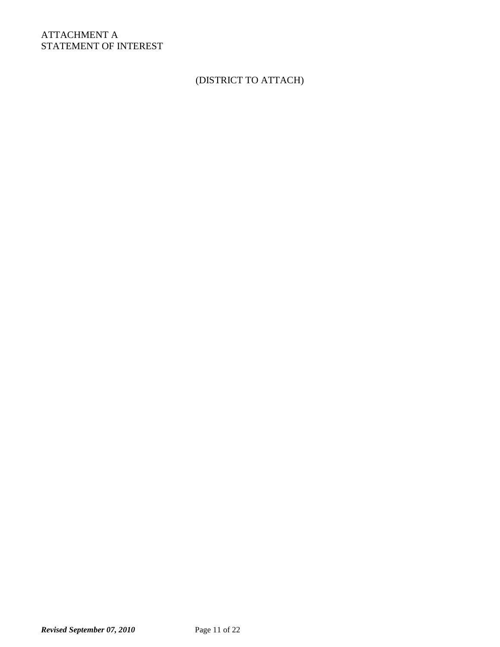# ATTACHMENT A STATEMENT OF INTEREST

# (DISTRICT TO ATTACH)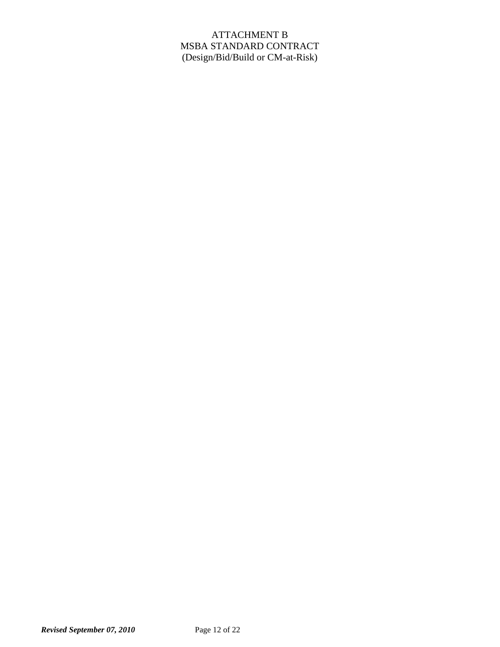## ATTACHMENT B MSBA STANDARD CONTRACT (Design/Bid/Build or CM-at-Risk)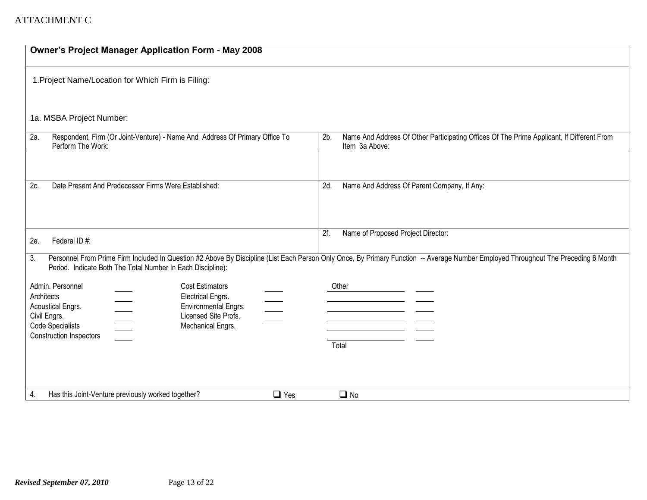# ATTACHMENT C

| <b>Owner's Project Manager Application Form - May 2008</b>                                                                                                                                                                             |                                                                                                                                                                                    |  |  |  |  |  |  |
|----------------------------------------------------------------------------------------------------------------------------------------------------------------------------------------------------------------------------------------|------------------------------------------------------------------------------------------------------------------------------------------------------------------------------------|--|--|--|--|--|--|
| 1. Project Name/Location for Which Firm is Filing:                                                                                                                                                                                     |                                                                                                                                                                                    |  |  |  |  |  |  |
| 1a. MSBA Project Number:                                                                                                                                                                                                               |                                                                                                                                                                                    |  |  |  |  |  |  |
| Respondent, Firm (Or Joint-Venture) - Name And Address Of Primary Office To<br>2a.<br>Perform The Work:                                                                                                                                | Name And Address Of Other Participating Offices Of The Prime Applicant, If Different From<br>2b.<br>Item 3a Above:                                                                 |  |  |  |  |  |  |
| Date Present And Predecessor Firms Were Established:<br>2c.                                                                                                                                                                            | Name And Address Of Parent Company, If Any:<br>2d.                                                                                                                                 |  |  |  |  |  |  |
| Federal ID#:<br>2e.                                                                                                                                                                                                                    | Name of Proposed Project Director:<br>2f.                                                                                                                                          |  |  |  |  |  |  |
| 3.<br>Period. Indicate Both The Total Number In Each Discipline):                                                                                                                                                                      | Personnel From Prime Firm Included In Question #2 Above By Discipline (List Each Person Only Once, By Primary Function -- Average Number Employed Throughout The Preceding 6 Month |  |  |  |  |  |  |
| Admin. Personnel<br><b>Cost Estimators</b><br>Architects<br>Electrical Engrs.<br>Environmental Engrs.<br>Acoustical Engrs.<br>Licensed Site Profs.<br>Civil Engrs.<br>Code Specialists<br>Mechanical Engrs.<br>Construction Inspectors | Other<br>Total                                                                                                                                                                     |  |  |  |  |  |  |
| 4.<br>Has this Joint-Venture previously worked together?<br>$\Box$ Yes                                                                                                                                                                 | $\Box$ No                                                                                                                                                                          |  |  |  |  |  |  |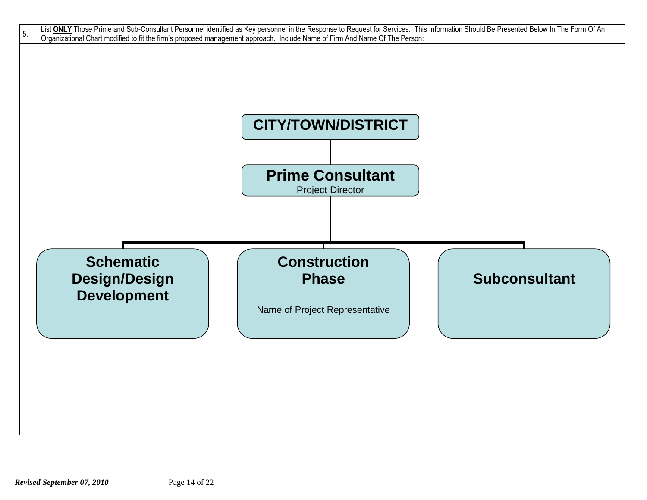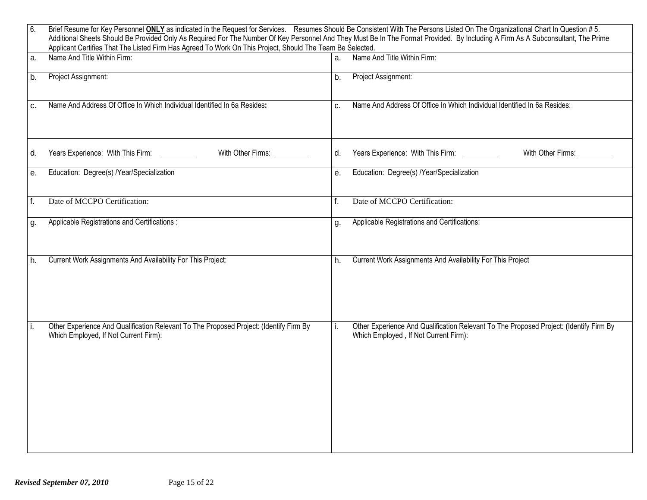| 6.  | Brief Resume for Key Personnel ONLY as indicated in the Request for Services. Resumes Should Be Consistent With The Persons Listed On The Organizational Chart In Question # 5.<br>Additional Sheets Should Be Provided Only As Required For The Number Of Key Personnel And They Must Be In The Format Provided. By Including A Firm As A Subconsultant, The Prime<br>Applicant Certifies That The Listed Firm Has Agreed To Work On This Project, Should The Team Be Selected. |    |                                                                                                                                 |  |  |  |  |
|-----|----------------------------------------------------------------------------------------------------------------------------------------------------------------------------------------------------------------------------------------------------------------------------------------------------------------------------------------------------------------------------------------------------------------------------------------------------------------------------------|----|---------------------------------------------------------------------------------------------------------------------------------|--|--|--|--|
| a.  | Name And Title Within Firm:                                                                                                                                                                                                                                                                                                                                                                                                                                                      | a. | Name And Title Within Firm:                                                                                                     |  |  |  |  |
| b.  | Project Assignment:                                                                                                                                                                                                                                                                                                                                                                                                                                                              | b. | Project Assignment:                                                                                                             |  |  |  |  |
| c.  | Name And Address Of Office In Which Individual Identified In 6a Resides:                                                                                                                                                                                                                                                                                                                                                                                                         | C. | Name And Address Of Office In Which Individual Identified In 6a Resides:                                                        |  |  |  |  |
| d.  | Years Experience: With This Firm:<br>With Other Firms:                                                                                                                                                                                                                                                                                                                                                                                                                           | d. | Years Experience: With This Firm:<br>With Other Firms:                                                                          |  |  |  |  |
| е.  | Education: Degree(s) /Year/Specialization                                                                                                                                                                                                                                                                                                                                                                                                                                        | е. | Education: Degree(s) /Year/Specialization                                                                                       |  |  |  |  |
| f.  | Date of MCCPO Certification:                                                                                                                                                                                                                                                                                                                                                                                                                                                     | f. | Date of MCCPO Certification:                                                                                                    |  |  |  |  |
| g.  | Applicable Registrations and Certifications :                                                                                                                                                                                                                                                                                                                                                                                                                                    | g. | Applicable Registrations and Certifications:                                                                                    |  |  |  |  |
| lh. | Current Work Assignments And Availability For This Project:                                                                                                                                                                                                                                                                                                                                                                                                                      | h. | Current Work Assignments And Availability For This Project                                                                      |  |  |  |  |
| j.  | Other Experience And Qualification Relevant To The Proposed Project: (Identify Firm By<br>Which Employed, If Not Current Firm):                                                                                                                                                                                                                                                                                                                                                  | i. | Other Experience And Qualification Relevant To The Proposed Project: (Identify Firm By<br>Which Employed, If Not Current Firm): |  |  |  |  |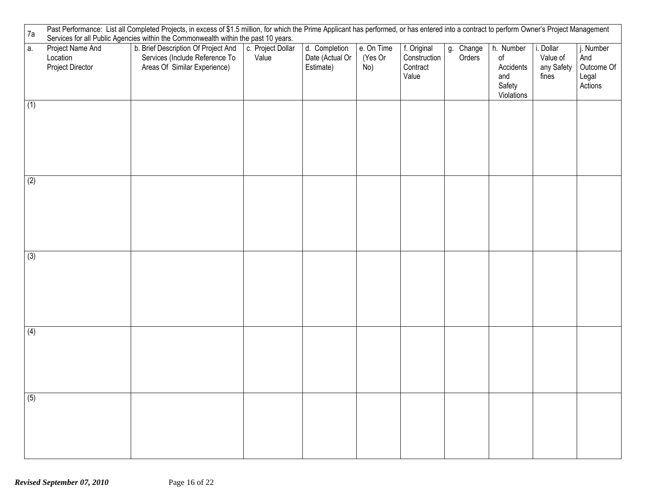| 7a               | Past Performance: List all Completed Projects, in excess of \$1.5 million, for which the Prime Applicant has performed, or has entered into a contract to perform Owner's Project Management<br>Services for all Public Agencies within the Commonwealth within the past 10 years. |                                                                       |                   |                 |            |                             |                     |                 |            |                  |
|------------------|------------------------------------------------------------------------------------------------------------------------------------------------------------------------------------------------------------------------------------------------------------------------------------|-----------------------------------------------------------------------|-------------------|-----------------|------------|-----------------------------|---------------------|-----------------|------------|------------------|
|                  | Project Name And                                                                                                                                                                                                                                                                   |                                                                       | c. Project Dollar | d. Completion   | e. On Time |                             |                     |                 | i. Dollar  |                  |
| а.               | Location                                                                                                                                                                                                                                                                           | b. Brief Description Of Project And<br>Services (Include Reference To | Value             | Date (Actual Or | (Yes Or    | f. Original<br>Construction | g. Change<br>Orders | h. Number<br>of | Value of   | j. Number<br>And |
|                  | Project Director                                                                                                                                                                                                                                                                   | Areas Of Similar Experience)                                          |                   | Estimate)       | No)        | Contract                    |                     | Accidents       | any Safety | Outcome Of       |
|                  |                                                                                                                                                                                                                                                                                    |                                                                       |                   |                 |            | Value                       |                     | and             | fines      | Legal            |
|                  |                                                                                                                                                                                                                                                                                    |                                                                       |                   |                 |            |                             |                     | Safety          |            | Actions          |
|                  |                                                                                                                                                                                                                                                                                    |                                                                       |                   |                 |            |                             |                     | Violations      |            |                  |
| (1)              |                                                                                                                                                                                                                                                                                    |                                                                       |                   |                 |            |                             |                     |                 |            |                  |
|                  |                                                                                                                                                                                                                                                                                    |                                                                       |                   |                 |            |                             |                     |                 |            |                  |
|                  |                                                                                                                                                                                                                                                                                    |                                                                       |                   |                 |            |                             |                     |                 |            |                  |
|                  |                                                                                                                                                                                                                                                                                    |                                                                       |                   |                 |            |                             |                     |                 |            |                  |
|                  |                                                                                                                                                                                                                                                                                    |                                                                       |                   |                 |            |                             |                     |                 |            |                  |
|                  |                                                                                                                                                                                                                                                                                    |                                                                       |                   |                 |            |                             |                     |                 |            |                  |
|                  |                                                                                                                                                                                                                                                                                    |                                                                       |                   |                 |            |                             |                     |                 |            |                  |
|                  |                                                                                                                                                                                                                                                                                    |                                                                       |                   |                 |            |                             |                     |                 |            |                  |
| (2)              |                                                                                                                                                                                                                                                                                    |                                                                       |                   |                 |            |                             |                     |                 |            |                  |
|                  |                                                                                                                                                                                                                                                                                    |                                                                       |                   |                 |            |                             |                     |                 |            |                  |
|                  |                                                                                                                                                                                                                                                                                    |                                                                       |                   |                 |            |                             |                     |                 |            |                  |
|                  |                                                                                                                                                                                                                                                                                    |                                                                       |                   |                 |            |                             |                     |                 |            |                  |
|                  |                                                                                                                                                                                                                                                                                    |                                                                       |                   |                 |            |                             |                     |                 |            |                  |
|                  |                                                                                                                                                                                                                                                                                    |                                                                       |                   |                 |            |                             |                     |                 |            |                  |
|                  |                                                                                                                                                                                                                                                                                    |                                                                       |                   |                 |            |                             |                     |                 |            |                  |
| $\overline{(3)}$ |                                                                                                                                                                                                                                                                                    |                                                                       |                   |                 |            |                             |                     |                 |            |                  |
|                  |                                                                                                                                                                                                                                                                                    |                                                                       |                   |                 |            |                             |                     |                 |            |                  |
|                  |                                                                                                                                                                                                                                                                                    |                                                                       |                   |                 |            |                             |                     |                 |            |                  |
|                  |                                                                                                                                                                                                                                                                                    |                                                                       |                   |                 |            |                             |                     |                 |            |                  |
|                  |                                                                                                                                                                                                                                                                                    |                                                                       |                   |                 |            |                             |                     |                 |            |                  |
|                  |                                                                                                                                                                                                                                                                                    |                                                                       |                   |                 |            |                             |                     |                 |            |                  |
|                  |                                                                                                                                                                                                                                                                                    |                                                                       |                   |                 |            |                             |                     |                 |            |                  |
| (4)              |                                                                                                                                                                                                                                                                                    |                                                                       |                   |                 |            |                             |                     |                 |            |                  |
|                  |                                                                                                                                                                                                                                                                                    |                                                                       |                   |                 |            |                             |                     |                 |            |                  |
|                  |                                                                                                                                                                                                                                                                                    |                                                                       |                   |                 |            |                             |                     |                 |            |                  |
|                  |                                                                                                                                                                                                                                                                                    |                                                                       |                   |                 |            |                             |                     |                 |            |                  |
|                  |                                                                                                                                                                                                                                                                                    |                                                                       |                   |                 |            |                             |                     |                 |            |                  |
|                  |                                                                                                                                                                                                                                                                                    |                                                                       |                   |                 |            |                             |                     |                 |            |                  |
| $\overline{(5)}$ |                                                                                                                                                                                                                                                                                    |                                                                       |                   |                 |            |                             |                     |                 |            |                  |
|                  |                                                                                                                                                                                                                                                                                    |                                                                       |                   |                 |            |                             |                     |                 |            |                  |
|                  |                                                                                                                                                                                                                                                                                    |                                                                       |                   |                 |            |                             |                     |                 |            |                  |
|                  |                                                                                                                                                                                                                                                                                    |                                                                       |                   |                 |            |                             |                     |                 |            |                  |
|                  |                                                                                                                                                                                                                                                                                    |                                                                       |                   |                 |            |                             |                     |                 |            |                  |
|                  |                                                                                                                                                                                                                                                                                    |                                                                       |                   |                 |            |                             |                     |                 |            |                  |
|                  |                                                                                                                                                                                                                                                                                    |                                                                       |                   |                 |            |                             |                     |                 |            |                  |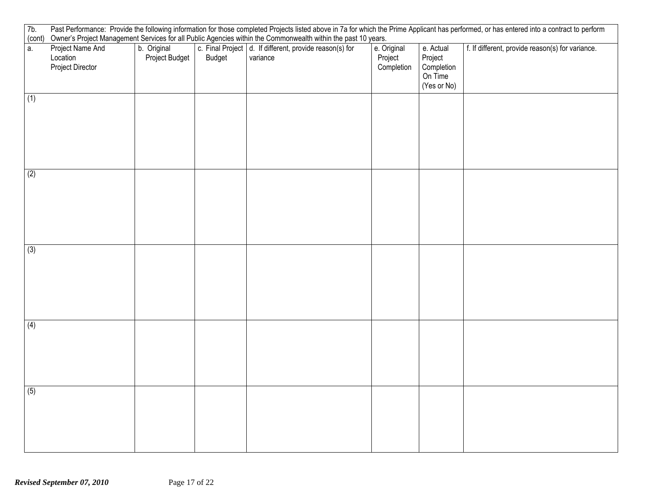| 7b.              | Past Performance: Provide the following information for those completed Projects listed above in 7a for which the Prime Applicant has performed, or has entered into a contract to perform<br>(cont) Owner's Project Management Services for all Public Agencies within the Commonwealth within the past 10 years. |                               |        |                                                                       |                                      |                                               |                                                  |  |  |
|------------------|--------------------------------------------------------------------------------------------------------------------------------------------------------------------------------------------------------------------------------------------------------------------------------------------------------------------|-------------------------------|--------|-----------------------------------------------------------------------|--------------------------------------|-----------------------------------------------|--------------------------------------------------|--|--|
|                  |                                                                                                                                                                                                                                                                                                                    |                               |        |                                                                       |                                      |                                               |                                                  |  |  |
| a.               | Project Name And<br>Location<br>Project Director                                                                                                                                                                                                                                                                   | b. Original<br>Project Budget | Budget | c. Final Project   d. If different, provide reason(s) for<br>variance | e. Original<br>Project<br>Completion | e. Actual<br>Project<br>Completion<br>On Time | f. If different, provide reason(s) for variance. |  |  |
|                  |                                                                                                                                                                                                                                                                                                                    |                               |        |                                                                       |                                      | (Yes or No)                                   |                                                  |  |  |
| (1)              |                                                                                                                                                                                                                                                                                                                    |                               |        |                                                                       |                                      |                                               |                                                  |  |  |
|                  |                                                                                                                                                                                                                                                                                                                    |                               |        |                                                                       |                                      |                                               |                                                  |  |  |
|                  |                                                                                                                                                                                                                                                                                                                    |                               |        |                                                                       |                                      |                                               |                                                  |  |  |
| $\overline{(2)}$ |                                                                                                                                                                                                                                                                                                                    |                               |        |                                                                       |                                      |                                               |                                                  |  |  |
|                  |                                                                                                                                                                                                                                                                                                                    |                               |        |                                                                       |                                      |                                               |                                                  |  |  |
|                  |                                                                                                                                                                                                                                                                                                                    |                               |        |                                                                       |                                      |                                               |                                                  |  |  |
|                  |                                                                                                                                                                                                                                                                                                                    |                               |        |                                                                       |                                      |                                               |                                                  |  |  |
|                  |                                                                                                                                                                                                                                                                                                                    |                               |        |                                                                       |                                      |                                               |                                                  |  |  |
|                  |                                                                                                                                                                                                                                                                                                                    |                               |        |                                                                       |                                      |                                               |                                                  |  |  |
| (3)              |                                                                                                                                                                                                                                                                                                                    |                               |        |                                                                       |                                      |                                               |                                                  |  |  |
|                  |                                                                                                                                                                                                                                                                                                                    |                               |        |                                                                       |                                      |                                               |                                                  |  |  |
|                  |                                                                                                                                                                                                                                                                                                                    |                               |        |                                                                       |                                      |                                               |                                                  |  |  |
|                  |                                                                                                                                                                                                                                                                                                                    |                               |        |                                                                       |                                      |                                               |                                                  |  |  |
|                  |                                                                                                                                                                                                                                                                                                                    |                               |        |                                                                       |                                      |                                               |                                                  |  |  |
| (4)              |                                                                                                                                                                                                                                                                                                                    |                               |        |                                                                       |                                      |                                               |                                                  |  |  |
|                  |                                                                                                                                                                                                                                                                                                                    |                               |        |                                                                       |                                      |                                               |                                                  |  |  |
|                  |                                                                                                                                                                                                                                                                                                                    |                               |        |                                                                       |                                      |                                               |                                                  |  |  |
|                  |                                                                                                                                                                                                                                                                                                                    |                               |        |                                                                       |                                      |                                               |                                                  |  |  |
|                  |                                                                                                                                                                                                                                                                                                                    |                               |        |                                                                       |                                      |                                               |                                                  |  |  |
| (5)              |                                                                                                                                                                                                                                                                                                                    |                               |        |                                                                       |                                      |                                               |                                                  |  |  |
|                  |                                                                                                                                                                                                                                                                                                                    |                               |        |                                                                       |                                      |                                               |                                                  |  |  |
|                  |                                                                                                                                                                                                                                                                                                                    |                               |        |                                                                       |                                      |                                               |                                                  |  |  |
|                  |                                                                                                                                                                                                                                                                                                                    |                               |        |                                                                       |                                      |                                               |                                                  |  |  |
|                  |                                                                                                                                                                                                                                                                                                                    |                               |        |                                                                       |                                      |                                               |                                                  |  |  |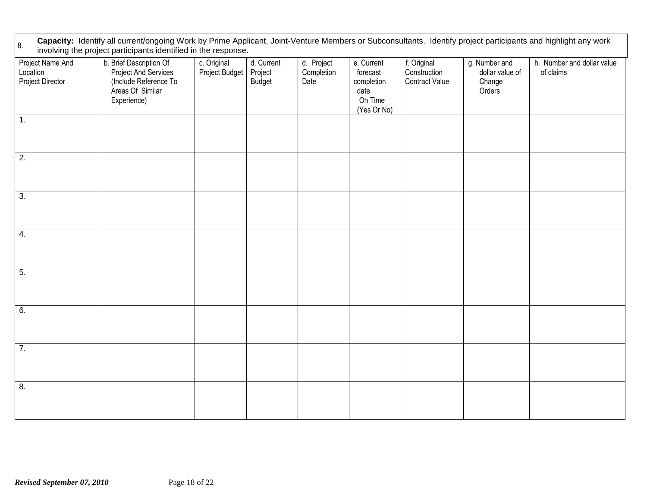| Capacity: Identify all current/ongoing Work by Prime Applicant, Joint-Venture Members or Subconsultants. Identify project participants and highlight any work<br>8.<br>involving the project participants identified in the response. |                                                                                                             |                               |                                 |                                  |                                                                        |                                                      |                                                      |                                         |
|---------------------------------------------------------------------------------------------------------------------------------------------------------------------------------------------------------------------------------------|-------------------------------------------------------------------------------------------------------------|-------------------------------|---------------------------------|----------------------------------|------------------------------------------------------------------------|------------------------------------------------------|------------------------------------------------------|-----------------------------------------|
| Project Name And<br>Location<br>Project Director<br>1.                                                                                                                                                                                | b. Brief Description Of<br>Project And Services<br>(Include Reference To<br>Areas Of Similar<br>Experience) | c. Original<br>Project Budget | d. Current<br>Project<br>Budget | d. Project<br>Completion<br>Date | e. Current<br>forecast<br>completion<br>date<br>On Time<br>(Yes Or No) | f. Original<br>Construction<br><b>Contract Value</b> | g. Number and<br>dollar value of<br>Change<br>Orders | h. Number and dollar value<br>of claims |
|                                                                                                                                                                                                                                       |                                                                                                             |                               |                                 |                                  |                                                                        |                                                      |                                                      |                                         |
| 2.                                                                                                                                                                                                                                    |                                                                                                             |                               |                                 |                                  |                                                                        |                                                      |                                                      |                                         |
| $\overline{3}$ .                                                                                                                                                                                                                      |                                                                                                             |                               |                                 |                                  |                                                                        |                                                      |                                                      |                                         |
| 4.                                                                                                                                                                                                                                    |                                                                                                             |                               |                                 |                                  |                                                                        |                                                      |                                                      |                                         |
| 5.                                                                                                                                                                                                                                    |                                                                                                             |                               |                                 |                                  |                                                                        |                                                      |                                                      |                                         |
| 6.                                                                                                                                                                                                                                    |                                                                                                             |                               |                                 |                                  |                                                                        |                                                      |                                                      |                                         |
| $\overline{7}$ .                                                                                                                                                                                                                      |                                                                                                             |                               |                                 |                                  |                                                                        |                                                      |                                                      |                                         |
| 8.                                                                                                                                                                                                                                    |                                                                                                             |                               |                                 |                                  |                                                                        |                                                      |                                                      |                                         |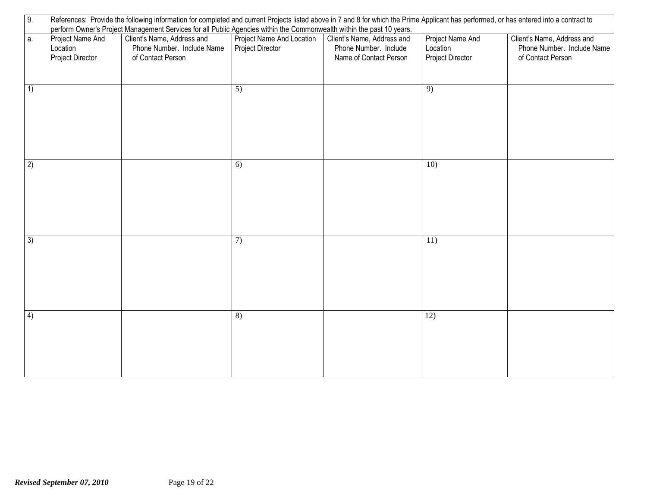| 9. | References: Provide the following information for completed and current Projects listed above in 7 and 8 for which the Prime Applicant has performed, or has entered into a contract to |                                                                                                                       |                           |                            |                  |                            |  |
|----|-----------------------------------------------------------------------------------------------------------------------------------------------------------------------------------------|-----------------------------------------------------------------------------------------------------------------------|---------------------------|----------------------------|------------------|----------------------------|--|
|    |                                                                                                                                                                                         | perform Owner's Project Management Services for all Public Agencies within the Commonwealth within the past 10 years. |                           |                            |                  |                            |  |
| а. | Project Name And                                                                                                                                                                        | Client's Name, Address and                                                                                            | Project Name And Location | Client's Name, Address and | Project Name And | Client's Name, Address and |  |
|    | Location                                                                                                                                                                                | Phone Number. Include Name                                                                                            | Project Director          | Phone Number. Include      | Location         | Phone Number. Include Name |  |
|    | Project Director                                                                                                                                                                        | of Contact Person                                                                                                     |                           | Name of Contact Person     | Project Director | of Contact Person          |  |
|    |                                                                                                                                                                                         |                                                                                                                       |                           |                            |                  |                            |  |
|    |                                                                                                                                                                                         |                                                                                                                       |                           |                            |                  |                            |  |
| 1) |                                                                                                                                                                                         |                                                                                                                       | 5)                        |                            | $\overline{9)}$  |                            |  |
|    |                                                                                                                                                                                         |                                                                                                                       |                           |                            |                  |                            |  |
|    |                                                                                                                                                                                         |                                                                                                                       |                           |                            |                  |                            |  |
|    |                                                                                                                                                                                         |                                                                                                                       |                           |                            |                  |                            |  |
|    |                                                                                                                                                                                         |                                                                                                                       |                           |                            |                  |                            |  |
|    |                                                                                                                                                                                         |                                                                                                                       |                           |                            |                  |                            |  |
|    |                                                                                                                                                                                         |                                                                                                                       |                           |                            |                  |                            |  |
|    |                                                                                                                                                                                         |                                                                                                                       |                           |                            |                  |                            |  |
| 2) |                                                                                                                                                                                         |                                                                                                                       | 6)                        |                            | 10)              |                            |  |
|    |                                                                                                                                                                                         |                                                                                                                       |                           |                            |                  |                            |  |
|    |                                                                                                                                                                                         |                                                                                                                       |                           |                            |                  |                            |  |
|    |                                                                                                                                                                                         |                                                                                                                       |                           |                            |                  |                            |  |
|    |                                                                                                                                                                                         |                                                                                                                       |                           |                            |                  |                            |  |
|    |                                                                                                                                                                                         |                                                                                                                       |                           |                            |                  |                            |  |
|    |                                                                                                                                                                                         |                                                                                                                       |                           |                            |                  |                            |  |
|    |                                                                                                                                                                                         |                                                                                                                       |                           |                            |                  |                            |  |
| 3) |                                                                                                                                                                                         |                                                                                                                       | $\overline{7}$            |                            | 11)              |                            |  |
|    |                                                                                                                                                                                         |                                                                                                                       |                           |                            |                  |                            |  |
|    |                                                                                                                                                                                         |                                                                                                                       |                           |                            |                  |                            |  |
|    |                                                                                                                                                                                         |                                                                                                                       |                           |                            |                  |                            |  |
|    |                                                                                                                                                                                         |                                                                                                                       |                           |                            |                  |                            |  |
|    |                                                                                                                                                                                         |                                                                                                                       |                           |                            |                  |                            |  |
|    |                                                                                                                                                                                         |                                                                                                                       |                           |                            |                  |                            |  |
| 4) |                                                                                                                                                                                         |                                                                                                                       | 8)                        |                            | 12)              |                            |  |
|    |                                                                                                                                                                                         |                                                                                                                       |                           |                            |                  |                            |  |
|    |                                                                                                                                                                                         |                                                                                                                       |                           |                            |                  |                            |  |
|    |                                                                                                                                                                                         |                                                                                                                       |                           |                            |                  |                            |  |
|    |                                                                                                                                                                                         |                                                                                                                       |                           |                            |                  |                            |  |
|    |                                                                                                                                                                                         |                                                                                                                       |                           |                            |                  |                            |  |
|    |                                                                                                                                                                                         |                                                                                                                       |                           |                            |                  |                            |  |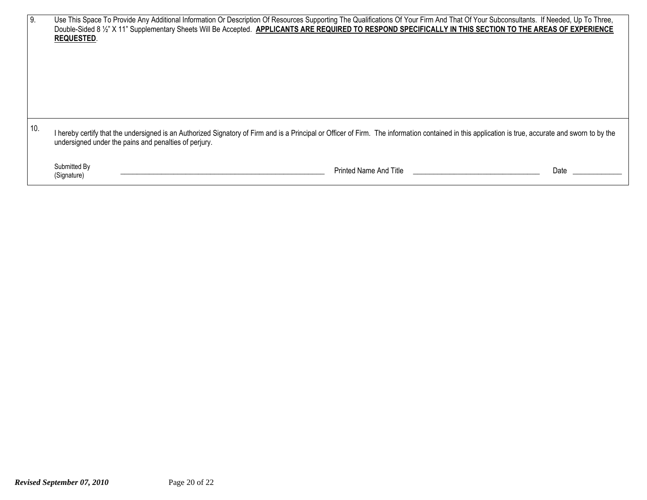| 9.  | Use This Space To Provide Any Additional Information Or Description Of Resources Supporting The Qualifications Of Your Firm And That Of Your Subconsultants. If Needed, Up To Three,<br>Double-Sided 8 1/2" X 11" Supplementary Sheets Will Be Accepted. APPLICANTS ARE REQUIRED TO RESPOND SPECIFICALLY IN THIS SECTION TO THE AREAS OF EXPERIENCE<br><b>REQUESTED.</b> |                        |      |
|-----|--------------------------------------------------------------------------------------------------------------------------------------------------------------------------------------------------------------------------------------------------------------------------------------------------------------------------------------------------------------------------|------------------------|------|
|     |                                                                                                                                                                                                                                                                                                                                                                          |                        |      |
|     |                                                                                                                                                                                                                                                                                                                                                                          |                        |      |
| 10. | I hereby certify that the undersigned is an Authorized Signatory of Firm and is a Principal or Officer of Firm. The information contained in this application is true, accurate and sworn to by the<br>undersigned under the pains and penalties of perjury.                                                                                                             |                        |      |
|     | Submitted By<br>(Signature)                                                                                                                                                                                                                                                                                                                                              | Printed Name And Title | Date |